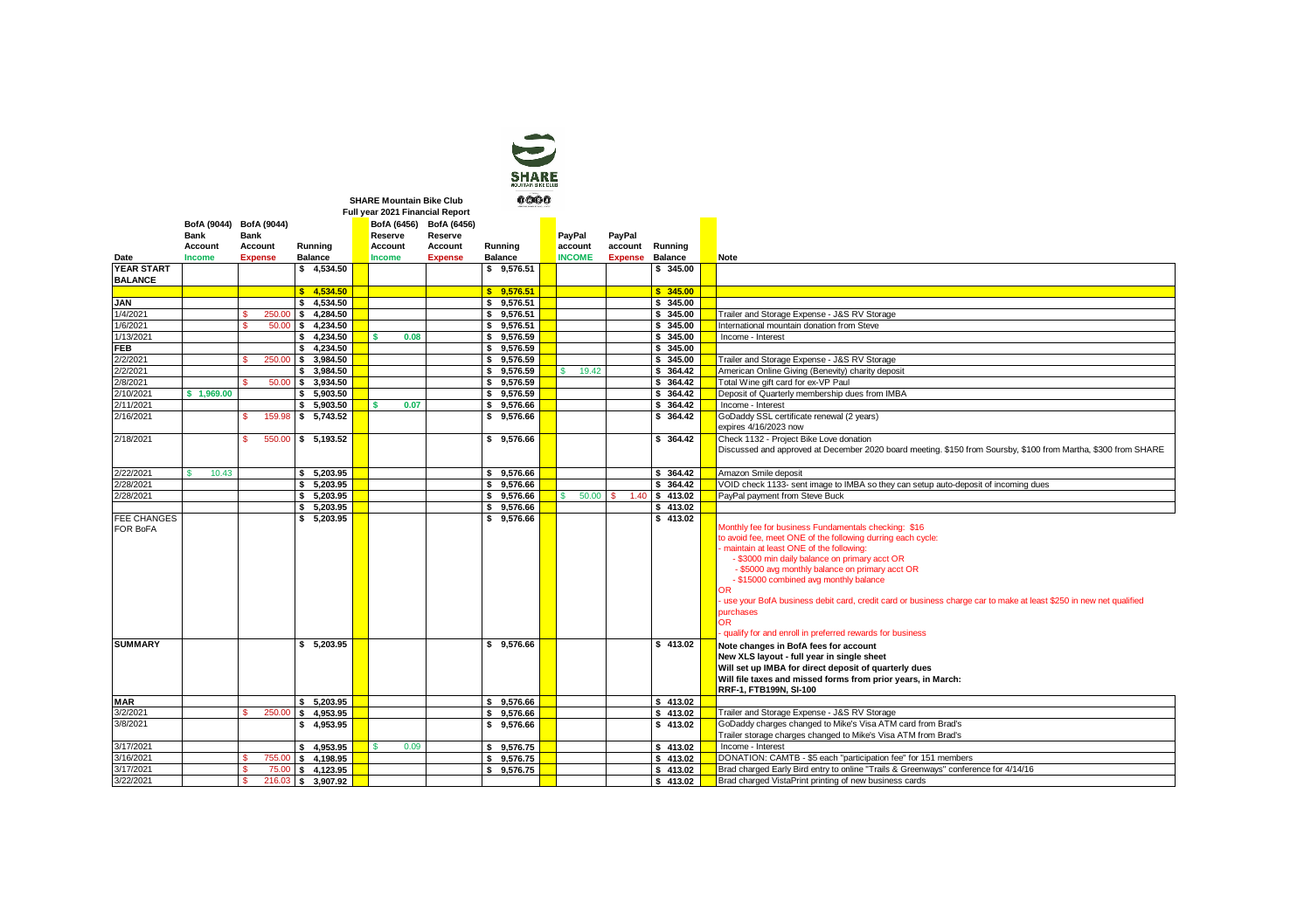| <b>OUNTAIN SIKE CLUB</b><br>м |  |
|-------------------------------|--|
|                               |  |

**SHARE Mountain Bike Club**

|                   | Full year 2021 Financial Report |                |                    |  |           |                         |                |  |               |                |           |  |                                                                                                                   |
|-------------------|---------------------------------|----------------|--------------------|--|-----------|-------------------------|----------------|--|---------------|----------------|-----------|--|-------------------------------------------------------------------------------------------------------------------|
|                   | BofA (9044) BofA (9044)         |                |                    |  |           | BofA (6456) BofA (6456) |                |  |               |                |           |  |                                                                                                                   |
|                   | <b>Bank</b>                     | <b>Bank</b>    |                    |  | Reserve   | Reserve                 |                |  | PayPal        | PayPal         |           |  |                                                                                                                   |
|                   | Account                         | Account        | Running            |  | Account   | Account                 | Running        |  | account       | account        | Running   |  |                                                                                                                   |
| Date              | Income                          | <b>Expense</b> | <b>Balance</b>     |  | Income    | <b>Expense</b>          | Balance        |  | <b>INCOME</b> | <b>Expense</b> | Balance   |  | <b>Note</b>                                                                                                       |
| <b>YEAR START</b> |                                 |                | \$4.534.50         |  |           |                         | \$9.576.51     |  |               |                | \$ 345.00 |  |                                                                                                                   |
| <b>BALANCE</b>    |                                 |                |                    |  |           |                         |                |  |               |                |           |  |                                                                                                                   |
|                   |                                 |                | \$4.534.50         |  |           |                         | \$9.576.51     |  |               |                | \$345.00  |  |                                                                                                                   |
| <b>JAN</b>        |                                 |                | \$4.534.50         |  |           |                         | \$9,576.51     |  |               |                | \$ 345.00 |  |                                                                                                                   |
| 1/4/2021          |                                 | 250.00         | 4.284.50<br>s.     |  |           |                         | 9,576.51<br>s. |  |               |                | \$ 345.00 |  | Trailer and Storage Expense - J&S RV Storage                                                                      |
| 1/6/2021          |                                 | 50.00          | \$4,234.50         |  |           |                         | \$9,576.51     |  |               |                | \$ 345.00 |  | International mountain donation from Steve                                                                        |
| 1/13/2021         |                                 |                | \$4.234.50         |  | 0.08<br>¢ |                         | \$9.576.59     |  |               |                | \$ 345.00 |  | Income - Interest                                                                                                 |
| <b>FEB</b>        |                                 |                | \$4.234.50         |  |           |                         | \$9.576.59     |  |               |                | \$345.00  |  |                                                                                                                   |
| 2/2/2021          |                                 | 250.00         | \$3.984.50         |  |           |                         | \$9.576.59     |  |               |                | \$ 345.00 |  | Trailer and Storage Expense - J&S RV Storage                                                                      |
| 2/2/2021          |                                 |                | \$ 3,984.50        |  |           |                         | \$9.576.59     |  | s.<br>19.42   |                | \$ 364.42 |  | American Online Giving (Benevity) charity deposit                                                                 |
| 2/8/2021          |                                 |                | 50.00 \$ 3,934.50  |  |           |                         | \$9.576.59     |  |               |                | \$ 364.42 |  | Total Wine gift card for ex-VP Paul                                                                               |
| 2/10/2021         | \$1,969.00                      |                | \$5,903.50         |  |           |                         | \$9.576.59     |  |               |                | \$ 364.42 |  | Deposit of Quarterly membership dues from IMBA                                                                    |
| 2/11/2021         |                                 |                | \$5,903.50         |  | 0.07      |                         | \$9,576.66     |  |               |                | \$ 364.42 |  | Income - Interest                                                                                                 |
| 2/16/2021         |                                 | s              | 159.98 \$ 5,743.52 |  |           |                         | \$9,576.66     |  |               |                | \$ 364.42 |  | GoDaddy SSL certificate renewal (2 years)                                                                         |
|                   |                                 |                |                    |  |           |                         |                |  |               |                |           |  | expires 4/16/2023 now                                                                                             |
| 2/18/2021         |                                 | 550.00<br>s    | \$5,193.52         |  |           |                         | \$9,576.66     |  |               |                | \$ 364.42 |  | Check 1132 - Project Bike Love donation                                                                           |
|                   |                                 |                |                    |  |           |                         |                |  |               |                |           |  | Discussed and approved at December 2020 board meeting. \$150 from Soursby, \$100 from Martha, \$300 from SHARE    |
|                   |                                 |                |                    |  |           |                         |                |  |               |                |           |  |                                                                                                                   |
| 2/22/2021         | 10.43<br>¢                      |                | \$5,203.95         |  |           |                         | \$9.576.66     |  |               |                | \$ 364.42 |  | Amazon Smile deposit                                                                                              |
| 2/28/2021         |                                 |                | \$5,203.95         |  |           |                         | 9,576.66<br>s. |  |               |                | \$ 364.42 |  | VOID check 1133- sent image to IMBA so they can setup auto-deposit of incoming dues                               |
| 2/28/2021         |                                 |                | 5.203.95<br>s.     |  |           |                         | 9,576.66<br>s. |  | 50.00<br>s    | 1.40<br>s      | \$413.02  |  | PayPal payment from Steve Buck                                                                                    |
|                   |                                 |                | 5.203.95<br>\$     |  |           |                         | 9,576.66<br>\$ |  |               |                | \$413.02  |  |                                                                                                                   |
| FEE CHANGES       |                                 |                | 5.203.95<br>\$     |  |           |                         | \$9.576.66     |  |               |                | \$413.02  |  |                                                                                                                   |
| FOR BoFA          |                                 |                |                    |  |           |                         |                |  |               |                |           |  | Monthly fee for business Fundamentals checking: \$16                                                              |
|                   |                                 |                |                    |  |           |                         |                |  |               |                |           |  | to avoid fee, meet ONE of the following durring each cycle:                                                       |
|                   |                                 |                |                    |  |           |                         |                |  |               |                |           |  | maintain at least ONE of the following:                                                                           |
|                   |                                 |                |                    |  |           |                         |                |  |               |                |           |  | - \$3000 min daily balance on primary acct OR                                                                     |
|                   |                                 |                |                    |  |           |                         |                |  |               |                |           |  | - \$5000 avg monthly balance on primary acct OR<br>- \$15000 combined avg monthly balance                         |
|                   |                                 |                |                    |  |           |                         |                |  |               |                |           |  | ŌR                                                                                                                |
|                   |                                 |                |                    |  |           |                         |                |  |               |                |           |  | use your BofA business debit card, credit card or business charge car to make at least \$250 in new net qualified |
|                   |                                 |                |                    |  |           |                         |                |  |               |                |           |  | purchases                                                                                                         |
|                   |                                 |                |                    |  |           |                         |                |  |               |                |           |  | 0R.                                                                                                               |
|                   |                                 |                |                    |  |           |                         |                |  |               |                |           |  | qualify for and enroll in preferred rewards for business                                                          |
| <b>SUMMARY</b>    |                                 |                | \$5,203.95         |  |           |                         | \$9,576.66     |  |               |                | \$413.02  |  | Note changes in BofA fees for account                                                                             |
|                   |                                 |                |                    |  |           |                         |                |  |               |                |           |  | New XLS layout - full year in single sheet                                                                        |
|                   |                                 |                |                    |  |           |                         |                |  |               |                |           |  | Will set up IMBA for direct deposit of quarterly dues                                                             |
|                   |                                 |                |                    |  |           |                         |                |  |               |                |           |  | Will file taxes and missed forms from prior years, in March:                                                      |
|                   |                                 |                |                    |  |           |                         |                |  |               |                |           |  | RRF-1, FTB199N, SI-100                                                                                            |
| <b>MAR</b>        |                                 |                | \$5,203.95         |  |           |                         | \$9,576.66     |  |               |                | \$413.02  |  |                                                                                                                   |
| 3/2/2021          |                                 | 250.00         | 4,953.95<br>\$     |  |           |                         | 9,576.66<br>\$ |  |               |                | \$413.02  |  | Trailer and Storage Expense - J&S RV Storage                                                                      |
| 3/8/2021          |                                 |                | 4,953.95<br>\$     |  |           |                         | 9,576.66<br>\$ |  |               |                | \$413.02  |  | GoDaddy charges changed to Mike's Visa ATM card from Brad's                                                       |
|                   |                                 |                |                    |  |           |                         |                |  |               |                |           |  | Trailer storage charges changed to Mike's Visa ATM from Brad's                                                    |
| 3/17/2021         |                                 |                | \$4,953.95         |  | 0.09      |                         | \$9.576.75     |  |               |                | \$413.02  |  | Income - Interest                                                                                                 |
| 3/16/2021         |                                 | 755.00         | 4.198.95<br>s.     |  |           |                         | 9.576.75<br>s  |  |               |                | \$413.02  |  | DONATION: CAMTB - \$5 each "participation fee" for 151 members                                                    |
| 3/17/2021         |                                 | 75.00          | \$4,123.95         |  |           |                         | 9.576.75<br>s. |  |               |                | \$413.02  |  | Brad charged Early Bird entry to online "Trails & Greenways" conference for 4/14/16                               |
| 3/22/2021         |                                 | Ś              | 216.03 \$ 3.907.92 |  |           |                         |                |  |               |                | \$413.02  |  | Brad charged VistaPrint printing of new business cards                                                            |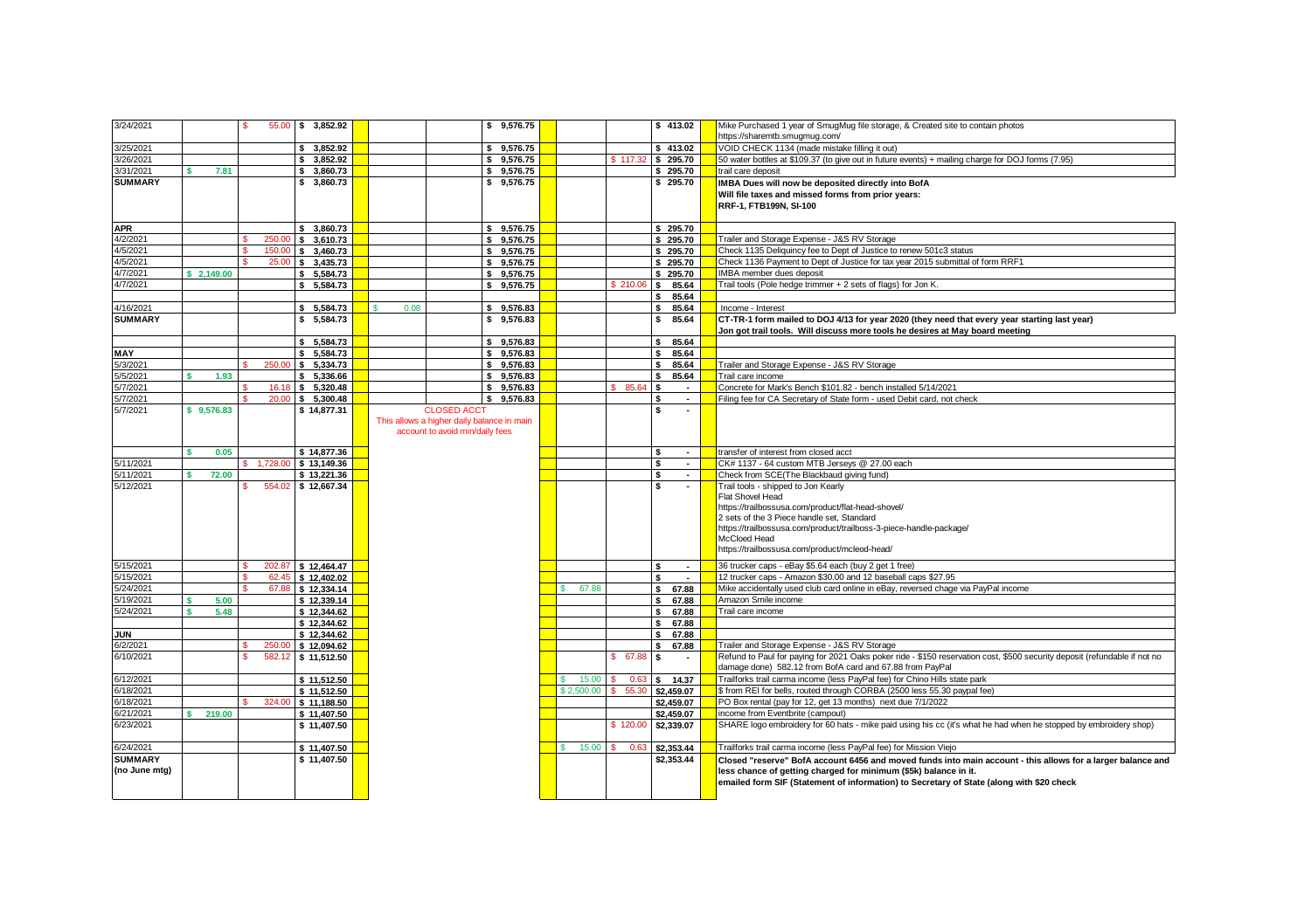| 3/24/2021      |              | s |          | 55.00 \$ 3,852.92  |            |                                            | \$9.576.75      |             |             | \$413.02               | Mike Purchased 1 year of SmugMug file storage, & Created site to contain photos                                           |
|----------------|--------------|---|----------|--------------------|------------|--------------------------------------------|-----------------|-------------|-------------|------------------------|---------------------------------------------------------------------------------------------------------------------------|
|                |              |   |          |                    |            |                                            |                 |             |             |                        | https://sharemtb.smugmug.com/                                                                                             |
| 3/25/2021      |              |   |          | \$3.852.92         |            |                                            | \$9.576.75      |             |             | \$413.02               | VOID CHECK 1134 (made mistake filling it out)                                                                             |
| 3/26/2021      |              |   |          | \$3.852.92         |            |                                            | \$9.576.75      |             |             | \$117.32 \$295.70      | 50 water bottles at \$109.37 (to give out in future events) + mailing charge for DOJ forms (7.95)                         |
| 3/31/2021      | 7.81         |   |          | \$ 3,860,73        |            |                                            | \$<br>9.576.75  |             |             | \$295.70               | trail care deposit                                                                                                        |
| <b>SUMMARY</b> |              |   |          | \$3,860.73         |            |                                            | \$9,576.75      |             |             | \$295.70               | IMBA Dues will now be deposited directly into BofA                                                                        |
|                |              |   |          |                    |            |                                            |                 |             |             |                        | Will file taxes and missed forms from prior vears:                                                                        |
|                |              |   |          |                    |            |                                            |                 |             |             |                        | RRF-1, FTB199N, SI-100                                                                                                    |
|                |              |   |          |                    |            |                                            |                 |             |             |                        |                                                                                                                           |
| <b>APR</b>     |              |   |          | \$3,860.73         |            |                                            | \$<br>9.576.75  |             |             | \$295.70               |                                                                                                                           |
| 4/2/2021       |              |   |          | 250.00 \$ 3,610.73 |            |                                            | \$<br>9.576.75  |             |             | \$295.70               | Trailer and Storage Expense - J&S RV Storage                                                                              |
| 4/5/2021       |              |   |          | 150.00 \$ 3,460.73 |            |                                            | s<br>9,576.75   |             |             | \$295.70               | Check 1135 Deliquincy fee to Dept of Justice to renew 501c3 status                                                        |
| 4/5/2021       |              |   |          | 25.00 \$ 3,435.73  |            |                                            | 9.576.75<br>\$. |             |             | \$295.70               | Check 1136 Payment to Dept of Justice for tax year 2015 submittal of form RRF1                                            |
| 4/7/2021       | \$2.149.00   |   |          | \$5,584.73         |            |                                            | 9.576.75<br>\$  |             |             | \$295.70               | IMBA member dues deposit                                                                                                  |
| 4/7/2021       |              |   |          | \$5.584.73         |            |                                            | \$9.576.75      |             | \$210.06    | l s<br>85.64           | Trail tools (Pole hedge trimmer + 2 sets of flags) for Jon K.                                                             |
|                |              |   |          |                    |            |                                            |                 |             |             | s<br>85.64             |                                                                                                                           |
| 4/16/2021      |              |   |          | \$5,584.73         | 0.08<br>s. |                                            | 9,576.83<br>\$  |             |             | s.<br>85.64            | Income - Interest                                                                                                         |
| <b>SUMMARY</b> |              |   |          | \$5,584.73         |            |                                            | \$9,576.83      |             |             | 85.64<br>s             | CT-TR-1 form mailed to DOJ 4/13 for year 2020 (they need that every year starting last year)                              |
|                |              |   |          |                    |            |                                            |                 |             |             |                        | Jon got trail tools. Will discuss more tools he desires at May board meeting                                              |
|                |              |   |          | \$5,584.73         |            |                                            | \$9,576.83      |             |             | 85.64<br>s             |                                                                                                                           |
| MAY            |              |   |          | \$5,584.73         |            |                                            | s.<br>9,576.83  |             |             | s<br>85.64             |                                                                                                                           |
| 5/3/2021       |              |   |          | 250.00 \$ 5,334.73 |            |                                            | 9,576.83<br>\$  |             |             | 85.64<br>s             | Trailer and Storage Expense - J&S RV Storage                                                                              |
| 5/5/2021       | 1.93         |   |          | \$5,336.66         |            |                                            | \$<br>9,576.83  |             |             | s<br>85.64             | Trail care income                                                                                                         |
| 5/7/2021       |              |   |          | 16.18 \$ 5.320.48  |            |                                            | \$9.576.83      |             | 85.64<br>s. | ۱s<br>$\sim$           | Concrete for Mark's Bench \$101.82 - bench installed 5/14/2021                                                            |
| 5/7/2021       |              |   | 20.00    | \$5,300.48         |            |                                            | 9,576.83<br>s.  |             |             | s<br>$\sim$            | Filing fee for CA Secretary of State form - used Debit card, not check                                                    |
| 5/7/2021       | \$9.576.83   |   |          | \$14,877.31        |            | <b>CLOSED ACCT</b>                         |                 |             |             | s<br>٠                 |                                                                                                                           |
|                |              |   |          |                    |            | This allows a higher daily balance in main |                 |             |             |                        |                                                                                                                           |
|                |              |   |          |                    |            | account to avoid min/daily fees            |                 |             |             |                        |                                                                                                                           |
|                |              |   |          |                    |            |                                            |                 |             |             |                        |                                                                                                                           |
|                | 0.05<br>¢    |   |          | \$14,877.36        |            |                                            |                 |             |             | $\mathbf{s}$<br>$\sim$ | transfer of interest from closed acct                                                                                     |
| 5/11/2021      |              |   | 1,728.00 | \$13,149.36        |            |                                            |                 |             |             | s<br>$\sim$            | CK# 1137 - 64 custom MTB Jerseys @ 27.00 each                                                                             |
| 5/11/2021      | 72.00        |   |          | \$13.221.36        |            |                                            |                 |             |             | s<br>$\sim$            | Check from SCE(The Blackbaud giving fund)                                                                                 |
| 5/12/2021      |              | s |          | 554.02 \$12.667.34 |            |                                            |                 |             |             | s<br>$\sim$            | Trail tools - shipped to Jon Kearly                                                                                       |
|                |              |   |          |                    |            |                                            |                 |             |             |                        | Flat Shovel Head                                                                                                          |
|                |              |   |          |                    |            |                                            |                 |             |             |                        | https://trailbossusa.com/product/flat-head-shovel/                                                                        |
|                |              |   |          |                    |            |                                            |                 |             |             |                        | 2 sets of the 3 Piece handle set. Standard                                                                                |
|                |              |   |          |                    |            |                                            |                 |             |             |                        | https://trailbossusa.com/product/trailboss-3-piece-handle-package/                                                        |
|                |              |   |          |                    |            |                                            |                 |             |             |                        | McCloed Head                                                                                                              |
|                |              |   |          |                    |            |                                            |                 |             |             |                        | https://trailbossusa.com/product/mcleod-head/                                                                             |
| 5/15/2021      |              | s |          | 202.87 \$12.464.47 |            |                                            |                 |             |             | <b>S</b><br>$\sim$     | 36 trucker caps - eBay \$5.64 each (buy 2 get 1 free)                                                                     |
| 5/15/2021      |              | s |          | 62.45 \$12.402.02  |            |                                            |                 |             |             | 5<br>$\sim$            | 12 trucker caps - Amazon \$30,00 and 12 baseball caps \$27,95                                                             |
| 5/24/2021      |              | s |          | 67.88 \$12.334.14  |            |                                            |                 | 67.88<br>s. |             | $\mathbf{s}$<br>67.88  | Mike accidentally used club card online in eBay, reversed chage via PayPal income                                         |
| 5/19/2021      | 5.00         |   |          | \$12,339.14        |            |                                            |                 |             |             | $\mathbf{s}$<br>67.88  | Amazon Smile income                                                                                                       |
| 5/24/2021      | 5.48         |   |          | \$12,344.62        |            |                                            |                 |             |             | 67.88<br>$\mathbf{s}$  | Trail care income                                                                                                         |
|                |              |   |          | \$12,344,62        |            |                                            |                 |             |             | 67.88<br>s.            |                                                                                                                           |
| <b>JUN</b>     |              |   |          | \$12,344.62        |            |                                            |                 |             |             | s<br>67.88             |                                                                                                                           |
| 6/2/2021       |              |   | 250.00   | \$12.094.62        |            |                                            |                 |             |             | s<br>67.88             | Trailer and Storage Expense - J&S RV Storage                                                                              |
| 6/10/2021      |              | s |          | 582.12 \$11,512.50 |            |                                            |                 |             | 67.88<br>s. | ۱s                     | Refund to Paul for paying for 2021 Oaks poker ride - \$150 reservation cost, \$500 security deposit (refundable if not no |
|                |              |   |          |                    |            |                                            |                 |             |             |                        | damage done) 582.12 from BofA card and 67.88 from PayPal                                                                  |
| 6/12/2021      |              |   |          | \$11,512.50        |            |                                            |                 | 15.00       | 0.63        | l S<br>14.37           | Trailforks trail carma income (less PayPal fee) for Chino Hills state park                                                |
| 6/18/2021      |              |   |          | \$11,512.50        |            |                                            |                 | \$2,500.00  | 55.30<br>s  | \$2,459.07             | \$ from REI for bells, routed through CORBA (2500 less 55.30 paypal fee)                                                  |
| 6/18/2021      |              |   | 324.00   | \$11.188.50        |            |                                            |                 |             |             | \$2,459.07             | PO Box rental (pay for 12, get 13 months) next due 7/1/2022                                                               |
| 6/21/2021      | 219.00<br>s. |   |          | \$11,407.50        |            |                                            |                 |             |             | \$2,459.07             | income from Eventbrite (campout)                                                                                          |
| 6/23/2021      |              |   |          | \$11,407.50        |            |                                            |                 |             | \$120.00    | \$2,339.07             | SHARE logo embroidery for 60 hats - mike paid using his cc (it's what he had when he stopped by embroidery shop)          |
|                |              |   |          |                    |            |                                            |                 |             |             |                        |                                                                                                                           |
| 6/24/2021      |              |   |          | \$11,407.50        |            |                                            |                 | 15.00<br>s  | s<br>0.63   | \$2,353,44             | Trailforks trail carma income (less PayPal fee) for Mission Viejo                                                         |
| <b>SUMMARY</b> |              |   |          | \$11,407.50        |            |                                            |                 |             |             | \$2,353,44             | Closed "reserve" BofA account 6456 and moved funds into main account - this allows for a larger balance and               |
| (no June mtg)  |              |   |          |                    |            |                                            |                 |             |             |                        | less chance of getting charged for minimum (\$5k) balance in it.                                                          |
|                |              |   |          |                    |            |                                            |                 |             |             |                        | emailed form SIF (Statement of information) to Secretary of State (along with \$20 check                                  |
|                |              |   |          |                    |            |                                            |                 |             |             |                        |                                                                                                                           |
|                |              |   |          |                    |            |                                            |                 |             |             |                        |                                                                                                                           |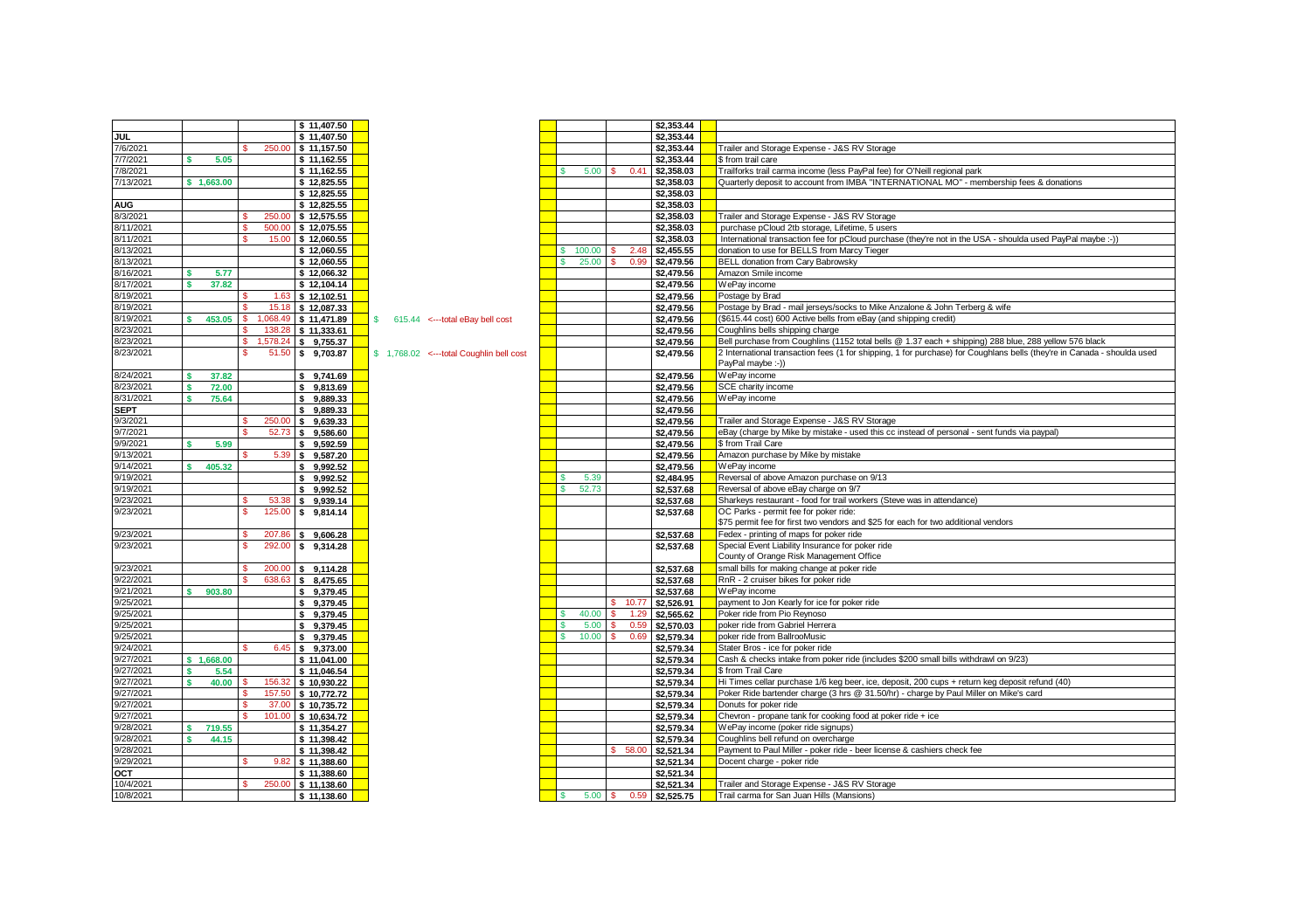|             |                    | \$11,407.50                          |                                          |             |                      | \$2,353,44 |                                                                                                                         |
|-------------|--------------------|--------------------------------------|------------------------------------------|-------------|----------------------|------------|-------------------------------------------------------------------------------------------------------------------------|
| <b>JUL</b>  |                    | \$11,407.50                          |                                          |             |                      | \$2,353.44 |                                                                                                                         |
| 7/6/2021    |                    | \$11,157.50<br>250.00                |                                          |             |                      | \$2,353.44 | Trailer and Storage Expense - J&S RV Storage                                                                            |
| 7/7/2021    | 5.05<br>¢          | \$11.162.55                          |                                          |             |                      | \$2,353,44 | \$ from trail care                                                                                                      |
| 7/8/2021    |                    | \$11,162.55                          |                                          | 5.00        | $0.4^{\circ}$<br>-S  | \$2,358.03 | Trailforks trail carma income (less PayPal fee) for O'Neill regional park                                               |
| 7/13/2021   | \$1,663.00         | \$12,825.55                          |                                          |             |                      | \$2,358.03 | Quarterly deposit to account from IMBA "INTERNATIONAL MO" - membership fees & donations                                 |
|             |                    | \$12,825.55                          |                                          |             |                      | \$2,358.03 |                                                                                                                         |
| <b>AUG</b>  |                    |                                      |                                          |             |                      | \$2,358.03 |                                                                                                                         |
| 8/3/2021    |                    | \$12,825.55                          |                                          |             |                      |            | Trailer and Storage Expense - J&S RV Storage                                                                            |
|             |                    | 250.00<br>\$12,575.55<br>500.00<br>Ś |                                          |             |                      | \$2,358.03 |                                                                                                                         |
| 8/11/2021   |                    | \$12,075.55<br>¢                     |                                          |             |                      | \$2,358.03 | purchase pCloud 2tb storage, Lifetime, 5 users                                                                          |
| 8/11/2021   |                    | \$12,060.55<br>15.00                 |                                          | ¢           |                      | \$2,358.03 | International transaction fee for pCloud purchase (they're not in the USA - shoulda used PayPal maybe :-))              |
| 8/13/2021   |                    | \$12,060.55                          |                                          | 100.00      | s.<br>2.48           | \$2,455.55 | donation to use for BELLS from Marcy Tieger                                                                             |
| 8/13/2021   |                    | \$12,060.55                          |                                          | 25.00<br>s  | s.<br>0.99           | \$2,479.56 | BELL donation from Cary Babrowsky                                                                                       |
| 8/16/2021   | 5.77<br>s          | \$12,066.32                          |                                          |             |                      | \$2,479.56 | Amazon Smile income                                                                                                     |
| 8/17/2021   | 37.82<br><b>s</b>  | \$12,104.14                          |                                          |             |                      | \$2,479.56 | WePav income                                                                                                            |
| 8/19/2021   |                    | \$12.102.51<br>1.63                  |                                          |             |                      | \$2,479.56 | Postage by Brad                                                                                                         |
| 8/19/2021   |                    | 15.18 \$ 12,087.33                   |                                          |             |                      | \$2,479.56 | Postage by Brad - mail jerseys/socks to Mike Anzalone & John Terberg & wife                                             |
| 8/19/2021   | 453.05<br>s        | 1.068.49<br>s<br>\$11,471.89         | $$615.44$ <--total eBay bell cost        |             |                      | \$2,479.56 | (\$615.44 cost) 600 Active bells from eBay (and shipping credit)                                                        |
| 8/23/2021   |                    | 138.28<br>\$11,333.61<br>s           |                                          |             |                      | \$2,479.56 | Coughlins bells shipping charge                                                                                         |
| 8/23/2021   |                    | 1.578.24<br>s<br>\$9,755.37          |                                          |             |                      | \$2,479.56 | Bell purchase from Coughlins (1152 total bells @ 1.37 each + shipping) 288 blue, 288 yellow 576 black                   |
| 8/23/2021   |                    | \$9,703.87<br>51.50<br>s             | \$1,768.02 <--- total Coughlin bell cost |             |                      | \$2,479.56 | 2 International transaction fees (1 for shipping, 1 for purchase) for Coughlans bells (they're in Canada - shoulda used |
|             |                    |                                      |                                          |             |                      |            | PayPal maybe :- ))                                                                                                      |
| 8/24/2021   | 37.82              | \$9,741.69                           |                                          |             |                      | \$2,479.56 | WePay income                                                                                                            |
| 8/23/2021   | 72.00              | s.<br>9,813.69                       |                                          |             |                      | \$2,479.56 | SCE charity income                                                                                                      |
| 8/31/2021   | 75.64              | \$9,889.33                           |                                          |             |                      | \$2,479.56 | WePay income                                                                                                            |
| <b>SEPT</b> |                    | \$9,889.33                           |                                          |             |                      | \$2,479.56 |                                                                                                                         |
| 9/3/2021    |                    | 250.00<br>\$9.639.33                 |                                          |             |                      | \$2,479.56 | Trailer and Storage Expense - J&S RV Storage                                                                            |
| 9/7/2021    |                    | 52.73 \$ 9,586.60                    |                                          |             |                      | \$2,479.56 | eBay (charge by Mike by mistake - used this cc instead of personal - sent funds via paypal)                             |
| 9/9/2021    | ¢<br>5.99          | \$9,592.59                           |                                          |             |                      | \$2,479.56 | \$ from Trail Care                                                                                                      |
| 9/13/2021   |                    | 5.39<br>\$9.587.20                   |                                          |             |                      | \$2,479.56 | Amazon purchase by Mike by mistake                                                                                      |
| 9/14/2021   | 405.32<br>¢        | 9.992.52<br>\$                       |                                          |             |                      | \$2,479.56 | WePav income                                                                                                            |
| 9/19/2021   |                    | 9,992.52<br>\$                       |                                          | 5.39<br>s   |                      | \$2,484.95 | Reversal of above Amazon purchase on 9/13                                                                               |
| 9/19/2021   |                    | 9,992.52<br>\$                       |                                          | 52.73<br>s. |                      | \$2,537.68 | Reversal of above eBay charge on 9/7                                                                                    |
| 9/23/2021   |                    | 53.38<br>\$9,939.14                  |                                          |             |                      | \$2,537.68 | Sharkeys restaurant - food for trail workers (Steve was in attendance)                                                  |
| 9/23/2021   |                    | 125.00<br>s<br>s.<br>9,814.14        |                                          |             |                      | \$2,537.68 | OC Parks - permit fee for poker ride:                                                                                   |
|             |                    |                                      |                                          |             |                      |            | \$75 permit fee for first two vendors and \$25 for each for two additional vendors                                      |
| 9/23/2021   |                    | 207.86<br>\$9.606.28                 |                                          |             |                      | \$2,537.68 | Fedex - printing of maps for poker ride                                                                                 |
| 9/23/2021   |                    | 292.00<br>\$9.314.28                 |                                          |             |                      | \$2,537.68 | Special Event Liability Insurance for poker ride                                                                        |
|             |                    |                                      |                                          |             |                      |            | County of Orange Risk Management Office                                                                                 |
| 9/23/2021   |                    | 200.00<br>\$9.114.28<br>s            |                                          |             |                      | \$2,537.68 | small bills for making change at poker ride                                                                             |
| 9/22/2021   |                    | \$8,475.65<br>638.63                 |                                          |             |                      | \$2,537.68 | RnR - 2 cruiser bikes for poker ride                                                                                    |
| 9/21/2021   | 903.80<br>s        | \$9,379.45                           |                                          |             |                      | \$2,537.68 | WePav income                                                                                                            |
| 9/25/2021   |                    | \$9,379.45                           |                                          |             | \$ 10.7              | \$2,526.91 | payment to Jon Kearly for ice for poker ride                                                                            |
| 9/25/2021   |                    | \$9,379.45                           |                                          | 40.00       | 1.29<br>s            | \$2,565.62 | Poker ride from Pio Reynoso                                                                                             |
| 9/25/2021   |                    | $5 - 9,379.45$                       |                                          | 5.00        | 0.59                 | \$2,570.03 | poker ride from Gabriel Herrera                                                                                         |
| 9/25/2021   |                    | \$9,379.45                           |                                          | 10.00       | 0.69                 | \$2,579.34 | poker ride from BallrooMusic                                                                                            |
| 9/24/2021   |                    | \$9,373.00<br>6.45                   |                                          |             |                      | \$2,579.34 | Stater Bros - ice for poker ride                                                                                        |
| 9/27/2021   | \$1,668.00         | \$11,041.00                          |                                          |             |                      | \$2,579.34 | Cash & checks intake from poker ride (includes \$200 small bills withdrawl on 9/23)                                     |
| 9/27/2021   | 5.54<br>s          | \$11,046.54                          |                                          |             |                      | \$2,579.34 | \$ from Trail Care                                                                                                      |
| 9/27/2021   | 40.00<br>s         | 156.32<br>\$10,930.22                |                                          |             |                      | \$2,579.34 | Hi Times cellar purchase 1/6 keg beer, ice, deposit, 200 cups + return keg deposit refund (40)                          |
|             |                    |                                      |                                          |             |                      | \$2,579.34 | Poker Ride bartender charge (3 hrs @ 31.50/hr) - charge by Paul Miller on Mike's card                                   |
| 9/27/2021   |                    | 157.50 \$ 10,772.72                  |                                          |             |                      |            | Donuts for poker ride                                                                                                   |
| 9/27/2021   |                    | 37.00<br>\$10,735.72<br>101.00       |                                          |             |                      | \$2,579.34 |                                                                                                                         |
| 9/27/2021   |                    | \$10,634.72                          |                                          |             |                      | \$2,579.34 | Chevron - propane tank for cooking food at poker ride + ice                                                             |
| 9/28/2021   | <b>s</b><br>719.55 | \$11,354.27                          |                                          |             |                      | \$2,579.34 | WePay income (poker ride signups)                                                                                       |
| 9/28/2021   | 44.15<br><b>S</b>  | \$11,398.42                          |                                          |             |                      | \$2,579.34 | Coughlins bell refund on overcharge                                                                                     |
| 9/28/2021   |                    | \$11,398.42                          |                                          |             | \$ 58.00             | \$2,521.34 | Payment to Paul Miller - poker ride - beer license & cashiers check fee                                                 |
| 9/29/2021   |                    | \$11,388.60<br>9.82                  |                                          |             |                      | \$2,521.34 | Docent charge - poker ride                                                                                              |
| OCT         |                    | \$11,388.60                          |                                          |             |                      | \$2,521.34 |                                                                                                                         |
| 10/4/2021   |                    | 250.00<br>\$11,138,60                |                                          |             |                      | \$2,521.34 | Trailer and Storage Expense - J&S RV Storage                                                                            |
| 10/8/2021   |                    | \$11,138.60                          |                                          | 5.00        | $\mathsf{S}$<br>0.59 | \$2,525.75 | Trail carma for San Juan Hills (Mansions)                                                                               |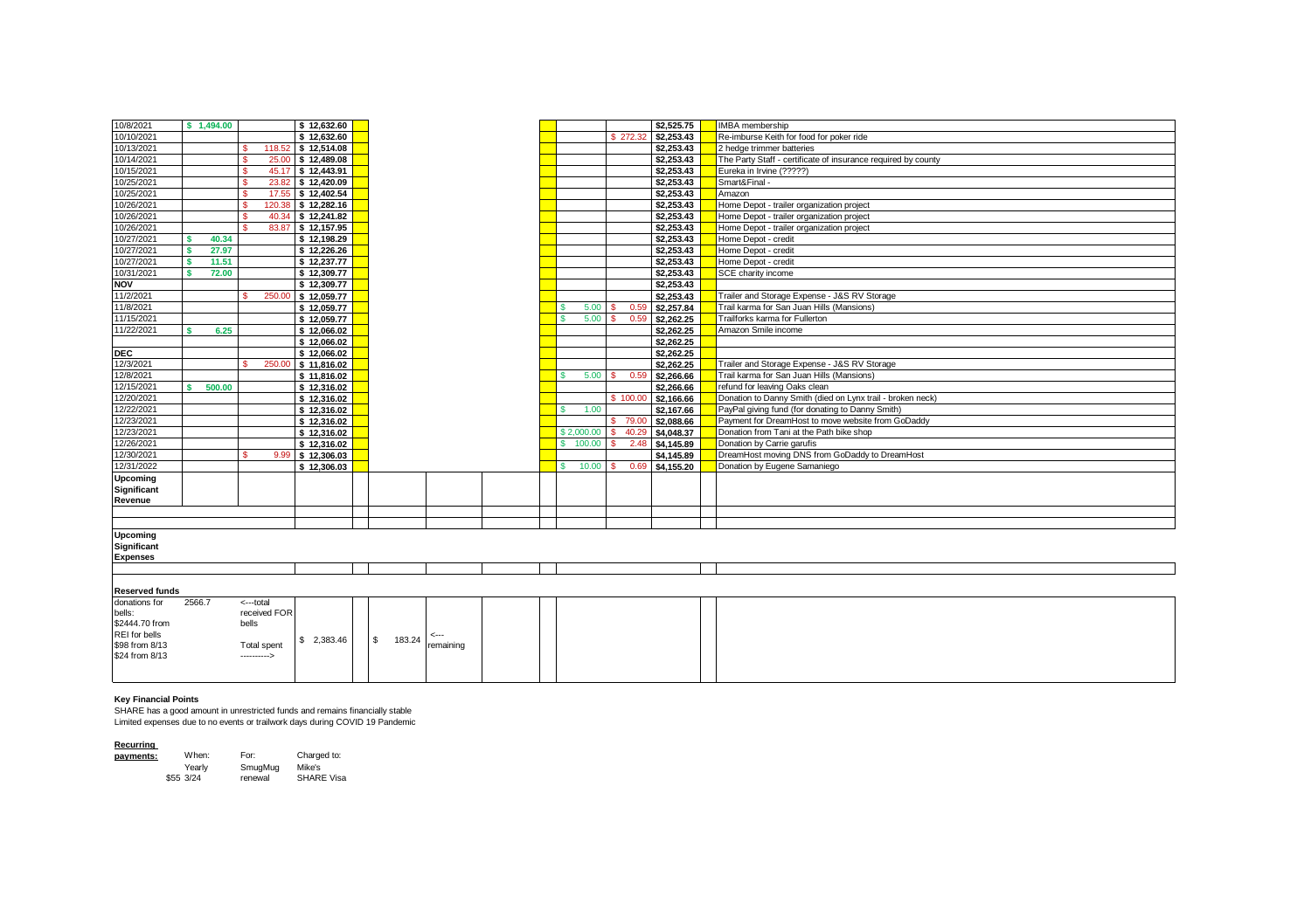| 10/8/2021                              |            | \$1,494,00 |                           |       | \$12,632.60        |   |        |           |  |                  |          |      | \$2,525,75 | IMBA membership                                               |
|----------------------------------------|------------|------------|---------------------------|-------|--------------------|---|--------|-----------|--|------------------|----------|------|------------|---------------------------------------------------------------|
| 10/10/2021                             |            |            |                           |       | \$12,632.60        |   |        |           |  |                  | \$272.32 |      | \$2,253,43 | Re-imburse Keith for food for poker ride                      |
| 10/13/2021                             |            |            |                           |       | 118.52 \$12.514.08 |   |        |           |  |                  |          |      | \$2,253.43 | 2 hedge trimmer batteries                                     |
| 10/14/2021                             |            |            |                           |       | 25.00 \$12,489.08  |   |        |           |  |                  |          |      | \$2,253,43 | The Party Staff - certificate of insurance required by county |
| 10/15/2021                             |            |            | s                         |       | 45.17 \$ 12,443.91 |   |        |           |  |                  |          |      | \$2,253.43 | Eureka in Irvine (?????)                                      |
| 10/25/2021                             |            |            |                           | 23.82 | \$12,420.09        |   |        |           |  |                  |          |      | \$2,253.43 | Smart&Final -                                                 |
| 10/25/2021                             |            |            |                           |       | 17.55 \$12,402.54  |   |        |           |  |                  |          |      | \$2,253.43 | Amazon                                                        |
| 10/26/2021                             |            |            | 120.38                    |       | \$12,282.16        |   |        |           |  |                  |          |      | \$2,253,43 | Home Depot - trailer organization project                     |
| 10/26/2021                             |            |            | s                         |       | 40.34 \$12,241.82  |   |        |           |  |                  |          |      | \$2,253,43 | Home Depot - trailer organization project                     |
| 10/26/2021                             |            |            |                           |       | 83.87 \$12.157.95  |   |        |           |  |                  |          |      | \$2,253,43 |                                                               |
|                                        |            |            |                           |       |                    |   |        |           |  |                  |          |      |            | Home Depot - trailer organization project                     |
| 10/27/2021                             |            | 40.34      |                           |       | \$12,198.29        |   |        |           |  |                  |          |      | \$2,253.43 | Home Depot - credit                                           |
| 10/27/2021                             | <b>e</b>   | 27.97      |                           |       | \$12,226.26        |   |        |           |  |                  |          |      | \$2,253,43 | Home Depot - credit                                           |
| 10/27/2021                             | $\epsilon$ | 11.51      |                           |       | \$12,237.77        |   |        |           |  |                  |          |      | \$2,253,43 | Home Depot - credit                                           |
| 10/31/2021                             | $\epsilon$ | 72.00      |                           |       | \$12,309.77        |   |        |           |  |                  |          |      | \$2,253,43 | SCE charity income                                            |
| <b>NOV</b>                             |            |            |                           |       | \$12,309.77        |   |        |           |  |                  |          |      | \$2,253,43 |                                                               |
| 11/2/2021                              |            |            | 250.00                    |       | \$12,059.77        |   |        |           |  |                  |          |      | \$2,253.43 | Trailer and Storage Expense - J&S RV Storage                  |
| 11/8/2021                              |            |            |                           |       | \$12,059.77        |   |        |           |  | 5.00             |          | 0.59 | \$2,257.84 | Trail karma for San Juan Hills (Mansions)                     |
| 11/15/2021                             |            |            |                           |       | \$12,059.77        |   |        |           |  | 5.00             |          | 0.59 | \$2,262.25 | Trailforks karma for Fullerton                                |
| 11/22/2021                             |            | 6.25       |                           |       | \$12,066.02        |   |        |           |  |                  |          |      | \$2,262.25 | Amazon Smile income                                           |
|                                        |            |            |                           |       | \$12,066.02        |   |        |           |  |                  |          |      | \$2,262.25 |                                                               |
| <b>DEC</b>                             |            |            |                           |       | \$12,066.02        |   |        |           |  |                  |          |      | \$2,262.25 |                                                               |
| 12/3/2021                              |            |            | 250.00                    |       | \$11,816.02        |   |        |           |  |                  |          |      | \$2,262.25 | Trailer and Storage Expense - J&S RV Storage                  |
| 12/8/2021                              |            |            |                           |       | \$11,816.02        |   |        |           |  | $5.00$ $\vert$ S |          | 0.59 | \$2,266.66 | Trail karma for San Juan Hills (Mansions)                     |
| 12/15/2021                             | ¢          | 500.00     |                           |       | \$12,316.02        |   |        |           |  |                  |          |      | \$2,266.66 | refund for leaving Oaks clean                                 |
| 12/20/2021                             |            |            |                           |       | \$12,316.02        |   |        |           |  |                  | \$100.00 |      | \$2,166,66 | Donation to Danny Smith (died on Lynx trail - broken neck)    |
| 12/22/2021                             |            |            |                           |       | \$12,316.02        |   |        |           |  | s<br>1.00        |          |      | \$2,167.66 | PayPal giving fund (for donating to Danny Smith)              |
| 12/23/2021                             |            |            |                           |       | \$12,316.02        |   |        |           |  |                  | \$ 79.00 |      | \$2,088.66 | Payment for DreamHost to move website from GoDaddy            |
| 12/23/2021                             |            |            |                           |       | \$12,316.02        |   |        |           |  | \$2,000.00       | \$40.29  |      | \$4,048.37 | Donation from Tani at the Path bike shop                      |
| 12/26/2021                             |            |            |                           |       | \$12,316.02        |   |        |           |  | 100.00<br>s.     |          | 2.48 | \$4,145.89 | Donation by Carrie garufis                                    |
| 12/30/2021                             |            |            |                           | 9.99  | \$12,306.03        |   |        |           |  |                  |          |      | \$4,145.89 | DreamHost moving DNS from GoDaddy to DreamHost                |
| 12/31/2022                             |            |            |                           |       | \$12,306.03        |   |        |           |  | 10.00<br>s       | -S.      | 0.69 | \$4,155,20 | Donation by Eugene Samaniego                                  |
| Upcoming                               |            |            |                           |       |                    |   |        |           |  |                  |          |      |            |                                                               |
| Significant                            |            |            |                           |       |                    |   |        |           |  |                  |          |      |            |                                                               |
| Revenue                                |            |            |                           |       |                    |   |        |           |  |                  |          |      |            |                                                               |
|                                        |            |            |                           |       |                    |   |        |           |  |                  |          |      |            |                                                               |
|                                        |            |            |                           |       |                    |   |        |           |  |                  |          |      |            |                                                               |
|                                        |            |            |                           |       |                    |   |        |           |  |                  |          |      |            |                                                               |
| Upcoming<br>Significant                |            |            |                           |       |                    |   |        |           |  |                  |          |      |            |                                                               |
| <b>Expenses</b>                        |            |            |                           |       |                    |   |        |           |  |                  |          |      |            |                                                               |
|                                        |            |            |                           |       |                    |   |        |           |  |                  |          |      |            |                                                               |
|                                        |            |            |                           |       |                    |   |        |           |  |                  |          |      |            |                                                               |
|                                        |            |            |                           |       |                    |   |        |           |  |                  |          |      |            |                                                               |
| <b>Reserved funds</b><br>donations for | 2566.7     |            |                           |       |                    |   |        |           |  |                  |          |      |            |                                                               |
|                                        |            |            | <---total<br>received FOR |       |                    |   |        |           |  |                  |          |      |            |                                                               |
| bells:<br>\$2444.70 from               |            |            | bells                     |       |                    |   |        |           |  |                  |          |      |            |                                                               |
| <b>REI</b> for bells                   |            |            |                           |       |                    |   |        |           |  |                  |          |      |            |                                                               |
| \$98 from 8/13                         |            |            | <b>Total spent</b>        |       | \$2.383.46         | s | 183.24 |           |  |                  |          |      |            |                                                               |
| \$24 from 8/13                         |            |            | ---------->               |       |                    |   |        | remaining |  |                  |          |      |            |                                                               |
|                                        |            |            |                           |       |                    |   |        |           |  |                  |          |      |            |                                                               |
|                                        |            |            |                           |       |                    |   |        |           |  |                  |          |      |            |                                                               |

## **Key Financial Points**

SHARE has a good amount in unrestricted funds and remains financially stable Limited expenses due to no events or trailwork days during COVID 19 Pandemic

| Recurring | When:     | For:    | Charged to:       |
|-----------|-----------|---------|-------------------|
| payments: | Yearly    | SmugMug | Mike's            |
|           | \$55 3/24 | renewal | <b>SHARE Visa</b> |